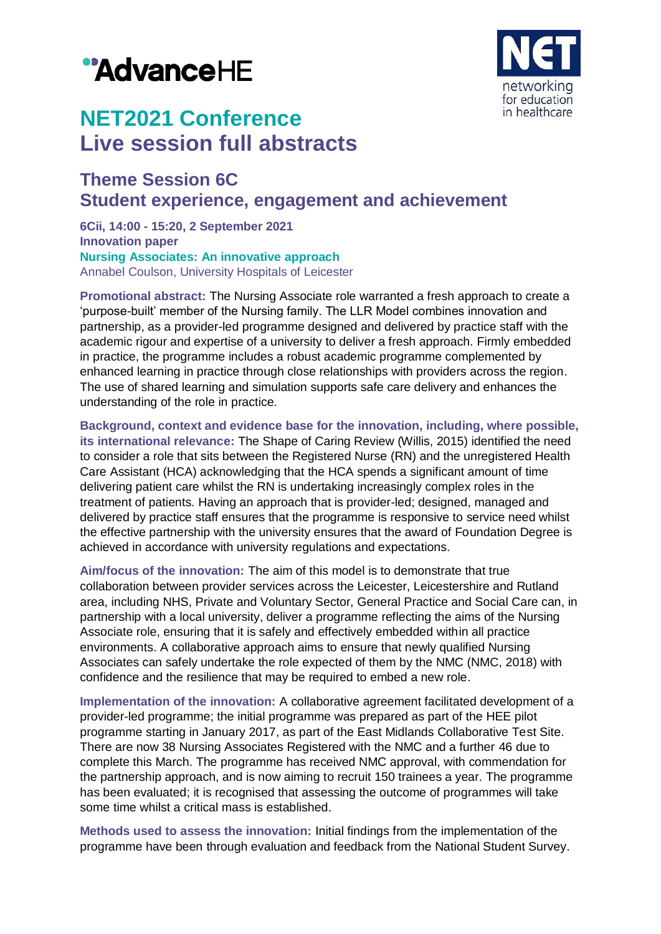# "AdvanceHE



## **NET2021 Conference Live session full abstracts**

### **Theme Session 6C Student experience, engagement and achievement**

**6Cii, 14:00 - 15:20, 2 September 2021 Innovation paper Nursing Associates: An innovative approach** Annabel Coulson, University Hospitals of Leicester

**Promotional abstract:** The Nursing Associate role warranted a fresh approach to create a 'purpose-built' member of the Nursing family. The LLR Model combines innovation and partnership, as a provider-led programme designed and delivered by practice staff with the academic rigour and expertise of a university to deliver a fresh approach. Firmly embedded in practice, the programme includes a robust academic programme complemented by enhanced learning in practice through close relationships with providers across the region. The use of shared learning and simulation supports safe care delivery and enhances the understanding of the role in practice.

**Background, context and evidence base for the innovation, including, where possible, its international relevance:** The Shape of Caring Review (Willis, 2015) identified the need to consider a role that sits between the Registered Nurse (RN) and the unregistered Health Care Assistant (HCA) acknowledging that the HCA spends a significant amount of time delivering patient care whilst the RN is undertaking increasingly complex roles in the treatment of patients. Having an approach that is provider-led; designed, managed and delivered by practice staff ensures that the programme is responsive to service need whilst the effective partnership with the university ensures that the award of Foundation Degree is achieved in accordance with university regulations and expectations.

**Aim/focus of the innovation:** The aim of this model is to demonstrate that true collaboration between provider services across the Leicester, Leicestershire and Rutland area, including NHS, Private and Voluntary Sector, General Practice and Social Care can, in partnership with a local university, deliver a programme reflecting the aims of the Nursing Associate role, ensuring that it is safely and effectively embedded within all practice environments. A collaborative approach aims to ensure that newly qualified Nursing Associates can safely undertake the role expected of them by the NMC (NMC, 2018) with confidence and the resilience that may be required to embed a new role.

**Implementation of the innovation:** A collaborative agreement facilitated development of a provider-led programme; the initial programme was prepared as part of the HEE pilot programme starting in January 2017, as part of the East Midlands Collaborative Test Site. There are now 38 Nursing Associates Registered with the NMC and a further 46 due to complete this March. The programme has received NMC approval, with commendation for the partnership approach, and is now aiming to recruit 150 trainees a year. The programme has been evaluated; it is recognised that assessing the outcome of programmes will take some time whilst a critical mass is established.

**Methods used to assess the innovation:** Initial findings from the implementation of the programme have been through evaluation and feedback from the National Student Survey.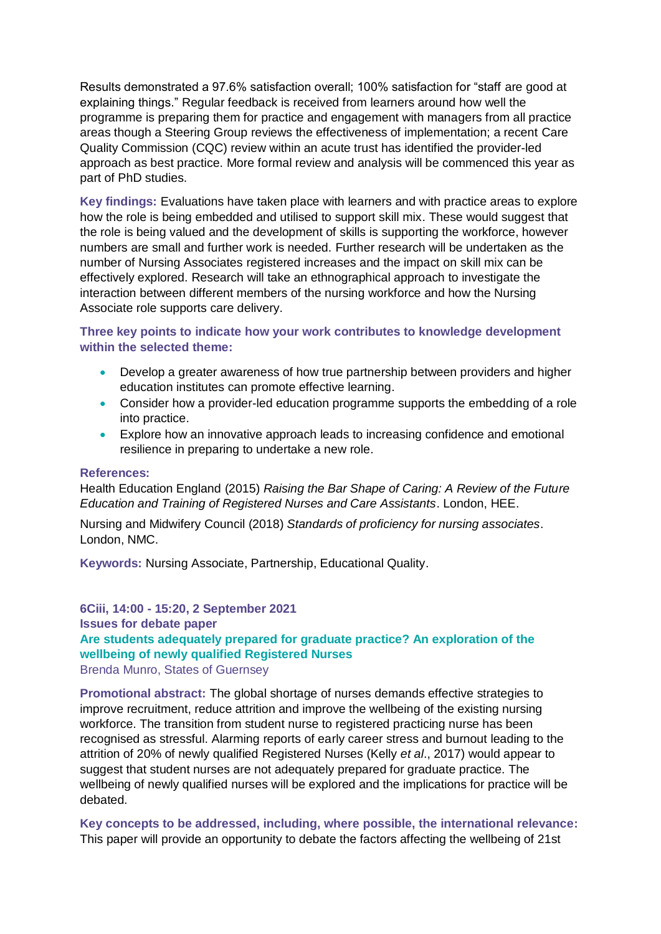Results demonstrated a 97.6% satisfaction overall; 100% satisfaction for "staff are good at explaining things." Regular feedback is received from learners around how well the programme is preparing them for practice and engagement with managers from all practice areas though a Steering Group reviews the effectiveness of implementation; a recent Care Quality Commission (CQC) review within an acute trust has identified the provider-led approach as best practice. More formal review and analysis will be commenced this year as part of PhD studies.

**Key findings:** Evaluations have taken place with learners and with practice areas to explore how the role is being embedded and utilised to support skill mix. These would suggest that the role is being valued and the development of skills is supporting the workforce, however numbers are small and further work is needed. Further research will be undertaken as the number of Nursing Associates registered increases and the impact on skill mix can be effectively explored. Research will take an ethnographical approach to investigate the interaction between different members of the nursing workforce and how the Nursing Associate role supports care delivery.

**Three key points to indicate how your work contributes to knowledge development within the selected theme:**

- Develop a greater awareness of how true partnership between providers and higher education institutes can promote effective learning.
- Consider how a provider-led education programme supports the embedding of a role into practice.
- Explore how an innovative approach leads to increasing confidence and emotional resilience in preparing to undertake a new role.

#### **References:**

Health Education England (2015) *Raising the Bar Shape of Caring: A Review of the Future Education and Training of Registered Nurses and Care Assistants*. London, HEE.

Nursing and Midwifery Council (2018) *Standards of proficiency for nursing associates*. London, NMC.

**Keywords:** Nursing Associate, Partnership, Educational Quality.

#### **6Ciii, 14:00 - 15:20, 2 September 2021 Issues for debate paper Are students adequately prepared for graduate practice? An exploration of the wellbeing of newly qualified Registered Nurses** Brenda Munro, States of Guernsey

**Promotional abstract:** The global shortage of nurses demands effective strategies to improve recruitment, reduce attrition and improve the wellbeing of the existing nursing workforce. The transition from student nurse to registered practicing nurse has been recognised as stressful. Alarming reports of early career stress and burnout leading to the attrition of 20% of newly qualified Registered Nurses (Kelly *et al*., 2017) would appear to suggest that student nurses are not adequately prepared for graduate practice. The wellbeing of newly qualified nurses will be explored and the implications for practice will be debated.

**Key concepts to be addressed, including, where possible, the international relevance:** This paper will provide an opportunity to debate the factors affecting the wellbeing of 21st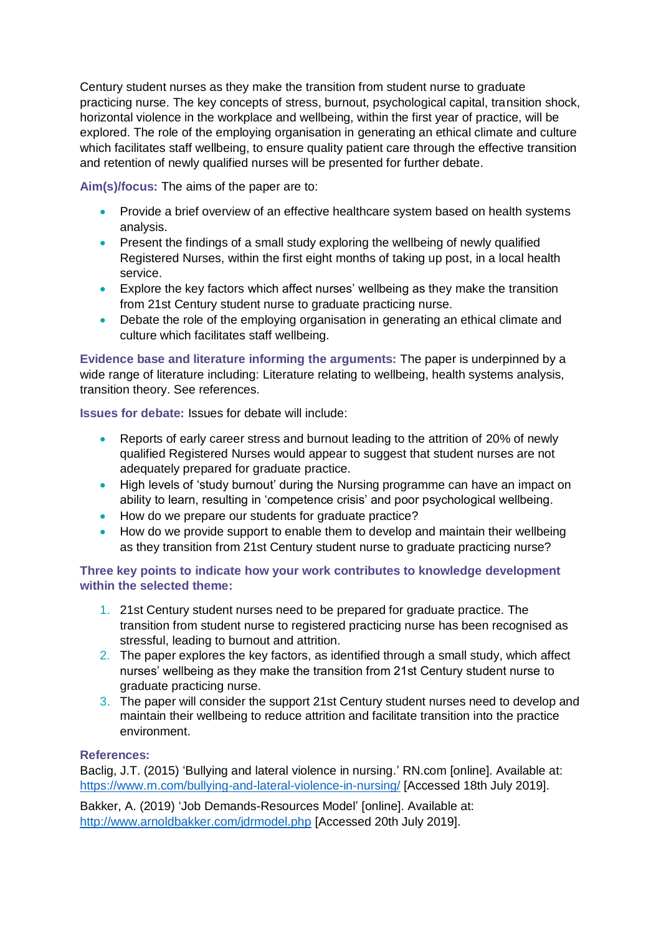Century student nurses as they make the transition from student nurse to graduate practicing nurse. The key concepts of stress, burnout, psychological capital, transition shock, horizontal violence in the workplace and wellbeing, within the first year of practice, will be explored. The role of the employing organisation in generating an ethical climate and culture which facilitates staff wellbeing, to ensure quality patient care through the effective transition and retention of newly qualified nurses will be presented for further debate.

**Aim(s)/focus:** The aims of the paper are to:

- Provide a brief overview of an effective healthcare system based on health systems analysis.
- Present the findings of a small study exploring the wellbeing of newly qualified Registered Nurses, within the first eight months of taking up post, in a local health service.
- Explore the key factors which affect nurses' wellbeing as they make the transition from 21st Century student nurse to graduate practicing nurse.
- Debate the role of the employing organisation in generating an ethical climate and culture which facilitates staff wellbeing.

**Evidence base and literature informing the arguments:** The paper is underpinned by a wide range of literature including: Literature relating to wellbeing, health systems analysis, transition theory. See references.

**Issues for debate:** Issues for debate will include:

- Reports of early career stress and burnout leading to the attrition of 20% of newly qualified Registered Nurses would appear to suggest that student nurses are not adequately prepared for graduate practice.
- High levels of 'study burnout' during the Nursing programme can have an impact on ability to learn, resulting in 'competence crisis' and poor psychological wellbeing.
- How do we prepare our students for graduate practice?
- How do we provide support to enable them to develop and maintain their wellbeing as they transition from 21st Century student nurse to graduate practicing nurse?

**Three key points to indicate how your work contributes to knowledge development within the selected theme:**

- 1. 21st Century student nurses need to be prepared for graduate practice. The transition from student nurse to registered practicing nurse has been recognised as stressful, leading to burnout and attrition.
- 2. The paper explores the key factors, as identified through a small study, which affect nurses' wellbeing as they make the transition from 21st Century student nurse to graduate practicing nurse.
- 3. The paper will consider the support 21st Century student nurses need to develop and maintain their wellbeing to reduce attrition and facilitate transition into the practice environment.

#### **References:**

Baclig, J.T. (2015) 'Bullying and lateral violence in nursing.' RN.com [online]. Available at: <https://www.rn.com/bullying-and-lateral-violence-in-nursing/> [Accessed 18th July 2019].

Bakker, A. (2019) 'Job Demands-Resources Model' [online]. Available at: <http://www.arnoldbakker.com/jdrmodel.php> [Accessed 20th July 2019].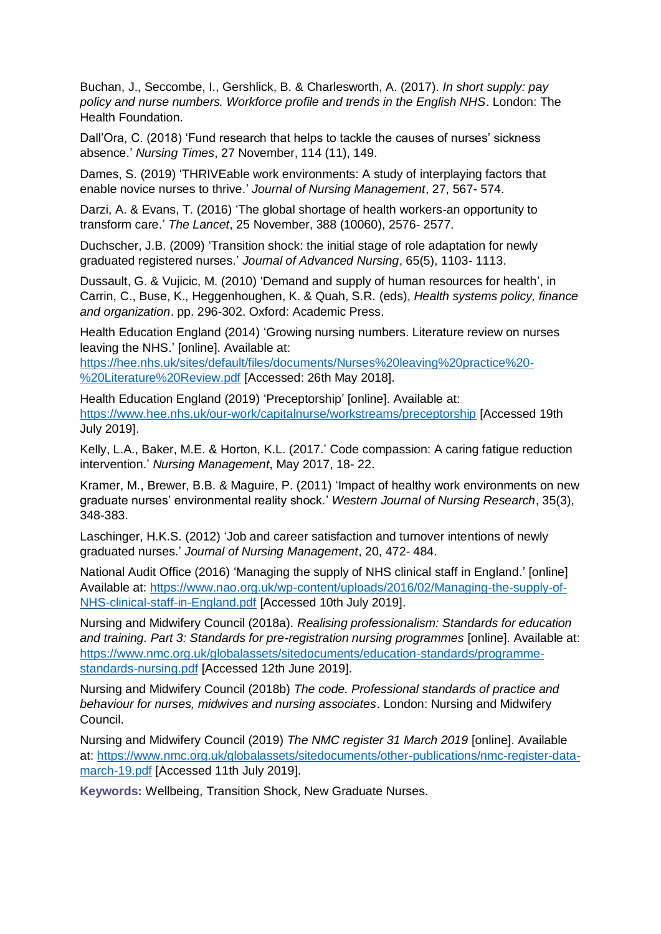Buchan, J., Seccombe, I., Gershlick, B. & Charlesworth, A. (2017). *In short supply: pay policy and nurse numbers. Workforce profile and trends in the English NHS*. London: The Health Foundation.

Dall'Ora, C. (2018) 'Fund research that helps to tackle the causes of nurses' sickness absence.' *Nursing Times*, 27 November, 114 (11), 149.

Dames, S. (2019) 'THRIVEable work environments: A study of interplaying factors that enable novice nurses to thrive.' *Journal of Nursing Management*, 27, 567- 574.

Darzi, A. & Evans, T. (2016) 'The global shortage of health workers-an opportunity to transform care.' *The Lancet*, 25 November, 388 (10060), 2576- 2577.

Duchscher, J.B. (2009) 'Transition shock: the initial stage of role adaptation for newly graduated registered nurses.' *Journal of Advanced Nursing*, 65(5), 1103- 1113.

Dussault, G. & Vujicic, M. (2010) 'Demand and supply of human resources for health', in Carrin, C., Buse, K., Heggenhoughen, K. & Quah, S.R. (eds), *Health systems policy, finance and organization*. pp. 296-302. Oxford: Academic Press.

Health Education England (2014) 'Growing nursing numbers. Literature review on nurses leaving the NHS.' [online]. Available at:

[https://hee.nhs.uk/sites/default/files/documents/Nurses%20leaving%20practice%20-](https://hee.nhs.uk/sites/default/files/documents/Nurses%20leaving%20practice%20-%20Literature%20Review.pdf) [%20Literature%20Review.pdf](https://hee.nhs.uk/sites/default/files/documents/Nurses%20leaving%20practice%20-%20Literature%20Review.pdf) [Accessed: 26th May 2018].

Health Education England (2019) 'Preceptorship' [online]. Available at: <https://www.hee.nhs.uk/our-work/capitalnurse/workstreams/preceptorship> [Accessed 19th July 2019].

Kelly, L.A., Baker, M.E. & Horton, K.L. (2017.' Code compassion: A caring fatigue reduction intervention.' *Nursing Management*, May 2017, 18- 22.

Kramer, M., Brewer, B.B. & Maguire, P. (2011) 'Impact of healthy work environments on new graduate nurses' environmental reality shock.' *Western Journal of Nursing Research*, 35(3), 348-383.

Laschinger, H.K.S. (2012) 'Job and career satisfaction and turnover intentions of newly graduated nurses.' *Journal of Nursing Management*, 20, 472- 484.

National Audit Office (2016) 'Managing the supply of NHS clinical staff in England.' [online] Available at: [https://www.nao.org.uk/wp-content/uploads/2016/02/Managing-the-supply-of-](https://www.nao.org.uk/wp-content/uploads/2016/02/Managing-the-supply-of-NHS-clinical-staff-in-England.pdf)[NHS-clinical-staff-in-England.pdf](https://www.nao.org.uk/wp-content/uploads/2016/02/Managing-the-supply-of-NHS-clinical-staff-in-England.pdf) [Accessed 10th July 2019].

Nursing and Midwifery Council (2018a). *Realising professionalism: Standards for education and training. Part 3: Standards for pre-registration nursing programmes* [online]. Available at: [https://www.nmc.org.uk/globalassets/sitedocuments/education-standards/programme](https://www.nmc.org.uk/globalassets/sitedocuments/education-standards/programme-standards-nursing.pdf)[standards-nursing.pdf](https://www.nmc.org.uk/globalassets/sitedocuments/education-standards/programme-standards-nursing.pdf) [Accessed 12th June 2019].

Nursing and Midwifery Council (2018b) *The code. Professional standards of practice and behaviour for nurses, midwives and nursing associates*. London: Nursing and Midwifery Council.

Nursing and Midwifery Council (2019) *The NMC register 31 March 2019* [online]. Available at: [https://www.nmc.org.uk/globalassets/sitedocuments/other-publications/nmc-register-data](https://www.nmc.org.uk/globalassets/sitedocuments/other-publications/nmc-register-data-march-19.pdf)[march-19.pdf](https://www.nmc.org.uk/globalassets/sitedocuments/other-publications/nmc-register-data-march-19.pdf) [Accessed 11th July 2019].

**Keywords:** Wellbeing, Transition Shock, New Graduate Nurses.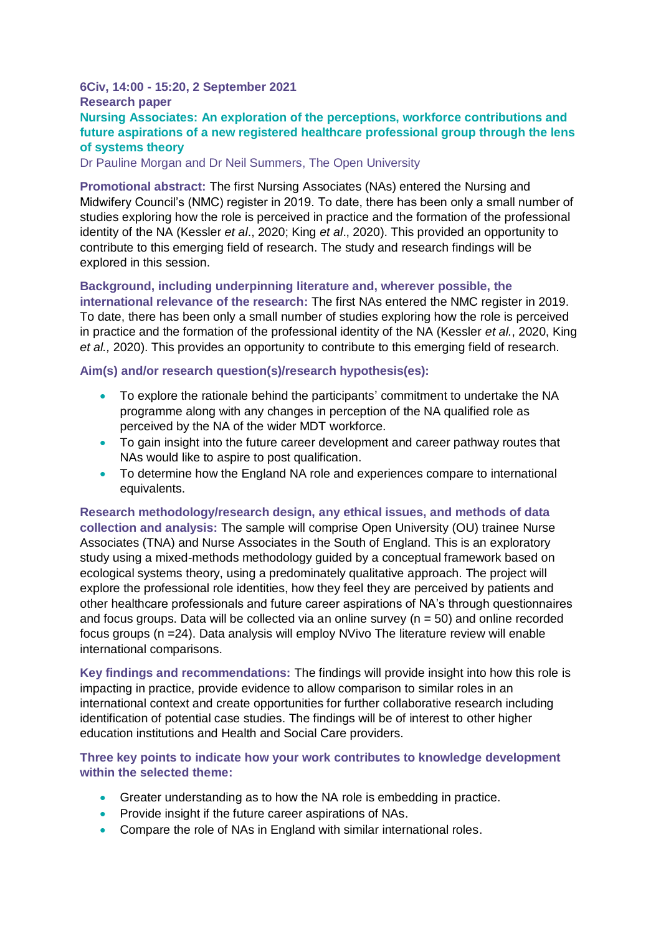#### **6Civ, 14:00 - 15:20, 2 September 2021 Research paper Nursing Associates: An exploration of the perceptions, workforce contributions and future aspirations of a new registered healthcare professional group through the lens of systems theory**

Dr Pauline Morgan and Dr Neil Summers, The Open University

**Promotional abstract:** The first Nursing Associates (NAs) entered the Nursing and Midwifery Council's (NMC) register in 2019. To date, there has been only a small number of studies exploring how the role is perceived in practice and the formation of the professional identity of the NA (Kessler *et al*., 2020; King *et al*., 2020). This provided an opportunity to contribute to this emerging field of research. The study and research findings will be explored in this session.

**Background, including underpinning literature and, wherever possible, the international relevance of the research:** The first NAs entered the NMC register in 2019. To date, there has been only a small number of studies exploring how the role is perceived in practice and the formation of the professional identity of the NA (Kessler *et al.*, 2020, King *et al.,* 2020). This provides an opportunity to contribute to this emerging field of research.

#### **Aim(s) and/or research question(s)/research hypothesis(es):**

- To explore the rationale behind the participants' commitment to undertake the NA programme along with any changes in perception of the NA qualified role as perceived by the NA of the wider MDT workforce.
- To gain insight into the future career development and career pathway routes that NAs would like to aspire to post qualification.
- To determine how the England NA role and experiences compare to international equivalents.

**Research methodology/research design, any ethical issues, and methods of data collection and analysis:** The sample will comprise Open University (OU) trainee Nurse Associates (TNA) and Nurse Associates in the South of England. This is an exploratory study using a mixed-methods methodology guided by a conceptual framework based on ecological systems theory, using a predominately qualitative approach. The project will explore the professional role identities, how they feel they are perceived by patients and other healthcare professionals and future career aspirations of NA's through questionnaires and focus groups. Data will be collected via an online survey ( $n = 50$ ) and online recorded focus groups (n =24). Data analysis will employ NVivo The literature review will enable international comparisons.

**Key findings and recommendations:** The findings will provide insight into how this role is impacting in practice, provide evidence to allow comparison to similar roles in an international context and create opportunities for further collaborative research including identification of potential case studies. The findings will be of interest to other higher education institutions and Health and Social Care providers.

#### **Three key points to indicate how your work contributes to knowledge development within the selected theme:**

- Greater understanding as to how the NA role is embedding in practice.
- Provide insight if the future career aspirations of NAs.
- Compare the role of NAs in England with similar international roles.